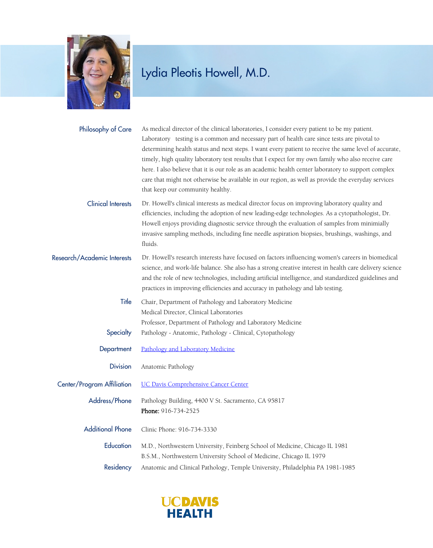

| Philosophy of Care          | As medical director of the clinical laboratories, I consider every patient to be my patient.<br>Laboratory testing is a common and necessary part of health care since tests are pivotal to<br>determining health status and next steps. I want every patient to receive the same level of accurate,<br>timely, high quality laboratory test results that I expect for my own family who also receive care<br>here. I also believe that it is our role as an academic health center laboratory to support complex<br>care that might not otherwise be available in our region, as well as provide the everyday services<br>that keep our community healthy. |
|-----------------------------|-------------------------------------------------------------------------------------------------------------------------------------------------------------------------------------------------------------------------------------------------------------------------------------------------------------------------------------------------------------------------------------------------------------------------------------------------------------------------------------------------------------------------------------------------------------------------------------------------------------------------------------------------------------|
| <b>Clinical Interests</b>   | Dr. Howell's clinical interests as medical director focus on improving laboratory quality and<br>efficiencies, including the adoption of new leading-edge technologies. As a cytopathologist, Dr.<br>Howell enjoys providing diagnostic service through the evaluation of samples from minimially<br>invasive sampling methods, including fine needle aspiration biopsies, brushings, washings, and<br>fluids.                                                                                                                                                                                                                                              |
| Research/Academic Interests | Dr. Howell's research interests have focused on factors influencing women's careers in biomedical<br>science, and work-life balance. She also has a strong creative interest in health care delivery science<br>and the role of new technologies, including artificial intelligence, and standardized guidelines and<br>practices in improving efficiencies and accuracy in pathology and lab testing.                                                                                                                                                                                                                                                      |
| Title                       | Chair, Department of Pathology and Laboratory Medicine<br>Medical Director, Clinical Laboratories<br>Professor, Department of Pathology and Laboratory Medicine                                                                                                                                                                                                                                                                                                                                                                                                                                                                                             |
| Specialty                   | Pathology - Anatomic, Pathology - Clinical, Cytopathology                                                                                                                                                                                                                                                                                                                                                                                                                                                                                                                                                                                                   |
| Department                  | Pathology and Laboratory Medicine                                                                                                                                                                                                                                                                                                                                                                                                                                                                                                                                                                                                                           |
| <b>Division</b>             | Anatomic Pathology                                                                                                                                                                                                                                                                                                                                                                                                                                                                                                                                                                                                                                          |
| Center/Program Affiliation  | <b>UC Davis Comprehensive Cancer Center</b>                                                                                                                                                                                                                                                                                                                                                                                                                                                                                                                                                                                                                 |
| Address/Phone               | Pathology Building, 4400 V St. Sacramento, CA 95817<br>Phone: 916-734-2525                                                                                                                                                                                                                                                                                                                                                                                                                                                                                                                                                                                  |
| <b>Additional Phone</b>     | Clinic Phone: 916-734-3330                                                                                                                                                                                                                                                                                                                                                                                                                                                                                                                                                                                                                                  |
| Education                   | M.D., Northwestern University, Feinberg School of Medicine, Chicago IL 1981<br>B.S.M., Northwestern University School of Medicine, Chicago IL 1979                                                                                                                                                                                                                                                                                                                                                                                                                                                                                                          |
| Residency                   | Anatomic and Clinical Pathology, Temple University, Philadelphia PA 1981-1985                                                                                                                                                                                                                                                                                                                                                                                                                                                                                                                                                                               |

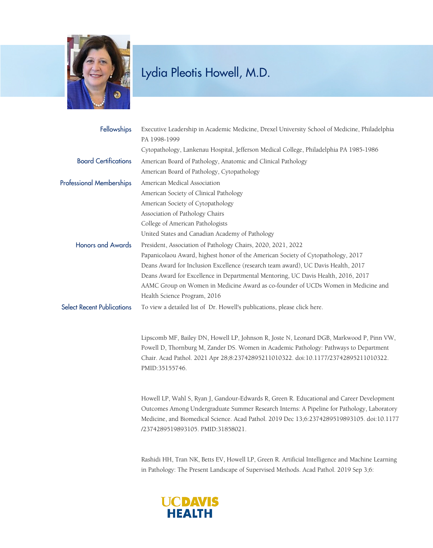

| Fellowships                       | Executive Leadership in Academic Medicine, Drexel University School of Medicine, Philadelphia<br>PA 1998-1999                                                                                                                                                                                                              |
|-----------------------------------|----------------------------------------------------------------------------------------------------------------------------------------------------------------------------------------------------------------------------------------------------------------------------------------------------------------------------|
|                                   | Cytopathology, Lankenau Hospital, Jefferson Medical College, Philadelphia PA 1985-1986                                                                                                                                                                                                                                     |
| <b>Board Certifications</b>       | American Board of Pathology, Anatomic and Clinical Pathology                                                                                                                                                                                                                                                               |
|                                   | American Board of Pathology, Cytopathology                                                                                                                                                                                                                                                                                 |
| <b>Professional Memberships</b>   | American Medical Association                                                                                                                                                                                                                                                                                               |
|                                   | American Society of Clinical Pathology                                                                                                                                                                                                                                                                                     |
|                                   | American Society of Cytopathology                                                                                                                                                                                                                                                                                          |
|                                   | Association of Pathology Chairs                                                                                                                                                                                                                                                                                            |
|                                   | College of American Pathologists                                                                                                                                                                                                                                                                                           |
|                                   | United States and Canadian Academy of Pathology                                                                                                                                                                                                                                                                            |
| <b>Honors and Awards</b>          | President, Association of Pathology Chairs, 2020, 2021, 2022                                                                                                                                                                                                                                                               |
|                                   | Papanicolaou Award, highest honor of the American Society of Cytopathology, 2017                                                                                                                                                                                                                                           |
|                                   | Deans Award for Inclusion Excellence (research team award), UC Davis Health, 2017                                                                                                                                                                                                                                          |
|                                   | Deans Award for Excellence in Departmental Mentoring, UC Davis Health, 2016, 2017                                                                                                                                                                                                                                          |
|                                   | AAMC Group on Women in Medicine Award as co-founder of UCDs Women in Medicine and                                                                                                                                                                                                                                          |
|                                   | Health Science Program, 2016                                                                                                                                                                                                                                                                                               |
| <b>Select Recent Publications</b> | To view a detailed list of Dr. Howell's publications, please click here.                                                                                                                                                                                                                                                   |
|                                   | Lipscomb MF, Bailey DN, Howell LP, Johnson R, Joste N, Leonard DGB, Markwood P, Pinn VW,<br>Powell D, Thornburg M, Zander DS. Women in Academic Pathology: Pathways to Department<br>Chair. Acad Pathol. 2021 Apr 28;8:23742895211010322. doi:10.1177/23742895211010322.<br>PMID:35155746.                                 |
|                                   | Howell LP, Wahl S, Ryan J, Gandour-Edwards R, Green R. Educational and Career Development<br>Outcomes Among Undergraduate Summer Research Interns: A Pipeline for Pathology, Laboratory<br>Medicine, and Biomedical Science. Acad Pathol. 2019 Dec 13;6:2374289519893105. doi:10.1177<br>/2374289519893105. PMID:31858021. |
|                                   |                                                                                                                                                                                                                                                                                                                            |

Rashidi HH, Tran NK, Betts EV, Howell LP, Green R. Artificial Intelligence and Machine Learning in Pathology: The Present Landscape of Supervised Methods. Acad Pathol. 2019 Sep 3;6:

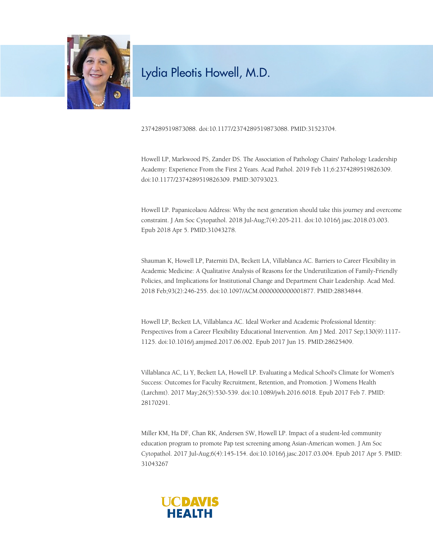

2374289519873088. doi:10.1177/2374289519873088. PMID:31523704.

Howell LP, Markwood PS, Zander DS. The Association of Pathology Chairs' Pathology Leadership Academy: Experience From the First 2 Years. Acad Pathol. 2019 Feb 11;6:2374289519826309. doi:10.1177/2374289519826309. PMID:30793023.

Howell LP. Papanicolaou Address: Why the next generation should take this journey and overcome constraint. J Am Soc Cytopathol. 2018 Jul-Aug;7(4):205-211. doi:10.1016/j.jasc.2018.03.003. Epub 2018 Apr 5. PMID:31043278.

Shauman K, Howell LP, Paterniti DA, Beckett LA, Villablanca AC. Barriers to Career Flexibility in Academic Medicine: A Qualitative Analysis of Reasons for the Underutilization of Family-Friendly Policies, and Implications for Institutional Change and Department Chair Leadership. Acad Med. 2018 Feb;93(2):246-255. doi:10.1097/ACM.0000000000001877. PMID:28834844.

Howell LP, Beckett LA, Villablanca AC. Ideal Worker and Academic Professional Identity: Perspectives from a Career Flexibility Educational Intervention. Am J Med. 2017 Sep;130(9):1117- 1125. doi:10.1016/j.amjmed.2017.06.002. Epub 2017 Jun 15. PMID:28625409.

Villablanca AC, Li Y, Beckett LA, Howell LP. Evaluating a Medical School's Climate for Women's Success: Outcomes for Faculty Recruitment, Retention, and Promotion. J Womens Health (Larchmt). 2017 May;26(5):530-539. doi:10.1089/jwh.2016.6018. Epub 2017 Feb 7. PMID: 28170291.

Miller KM, Ha DF, Chan RK, Andersen SW, Howell LP. Impact of a student-led community education program to promote Pap test screening among Asian-American women. J Am Soc Cytopathol. 2017 Jul-Aug;6(4):145-154. doi:10.1016/j.jasc.2017.03.004. Epub 2017 Apr 5. PMID: 31043267